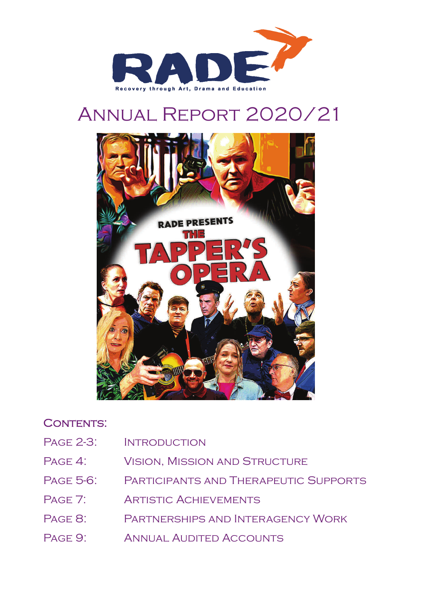

# Annual Report 2020/21



# CONTENTS:

- PAGE 2-3: INTRODUCTION
- PAGE 4: VISION, MISSION AND STRUCTURE
- Page 5-6: Participants and Therapeutic Supports
- PAGE 7: ARTISTIC ACHIEVEMENTS
- Page 8: Partnerships and Interagency Work
- PAGE 9: ANNUAL AUDITED ACCOUNTS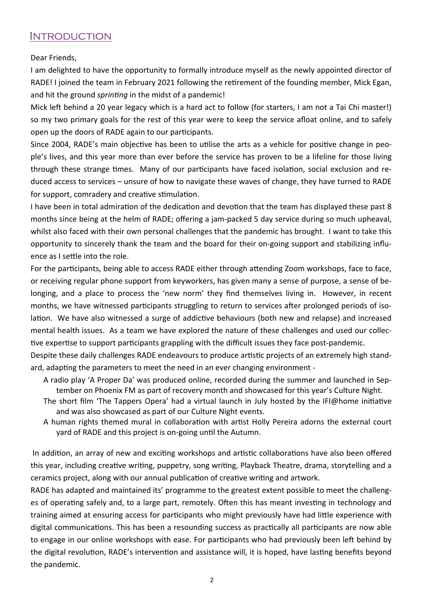### **INTRODUCTION**

Dear Friends,

I am delighted to have the opportunity to formally introduce myself as the newly appointed director of RADE! I joined the team in February 2021 following the retirement of the founding member, Mick Egan, and hit the ground *sprinting* in the midst of a pandemic!

Mick left behind a 20 year legacy which is a hard act to follow (for starters, I am not a Tai Chi master!) so my two primary goals for the rest of this year were to keep the service afloat online, and to safely open up the doors of RADE again to our participants.

Since 2004, RADE's main objective has been to utilise the arts as a vehicle for positive change in people's lives, and this year more than ever before the service has proven to be a lifeline for those living through these strange times. Many of our participants have faced isolation, social exclusion and reduced access to services – unsure of how to navigate these waves of change, they have turned to RADE for support, comradery and creative stimulation.

I have been in total admiration of the dedication and devotion that the team has displayed these past 8 months since being at the helm of RADE; offering a jam-packed 5 day service during so much upheaval, whilst also faced with their own personal challenges that the pandemic has brought. I want to take this opportunity to sincerely thank the team and the board for their on-going support and stabilizing influence as I settle into the role.

For the participants, being able to access RADE either through attending Zoom workshops, face to face, or receiving regular phone support from keyworkers, has given many a sense of purpose, a sense of belonging, and a place to process the 'new norm' they find themselves living in. However, in recent months, we have witnessed participants struggling to return to services after prolonged periods of isolation. We have also witnessed a surge of addictive behaviours (both new and relapse) and increased mental health issues. As a team we have explored the nature of these challenges and used our collective expertise to support participants grappling with the difficult issues they face post-pandemic.

Despite these daily challenges RADE endeavours to produce artistic projects of an extremely high standard, adapting the parameters to meet the need in an ever changing environment -

- A radio play 'A Proper Da' was produced online, recorded during the summer and launched in September on Phoenix FM as part of recovery month and showcased for this year's Culture Night.
- The short film 'The Tappers Opera' had a virtual launch in July hosted by the IFI@home initiative and was also showcased as part of our Culture Night events.
- A human rights themed mural in collaboration with artist Holly Pereira adorns the external court yard of RADE and this project is on-going until the Autumn.

In addition, an array of new and exciting workshops and artistic collaborations have also been offered this year, including creative writing, puppetry, song writing, Playback Theatre, drama, storytelling and a ceramics project, along with our annual publication of creative writing and artwork.

RADE has adapted and maintained its' programme to the greatest extent possible to meet the challenges of operating safely and, to a large part, remotely. Often this has meant investing in technology and training aimed at ensuring access for participants who might previously have had little experience with digital communications. This has been a resounding success as practically all participants are now able to engage in our online workshops with ease. For participants who had previously been left behind by the digital revolution, RADE's intervention and assistance will, it is hoped, have lasting benefits beyond the pandemic.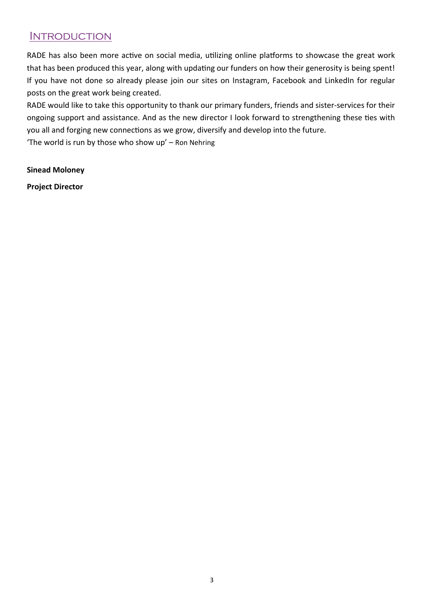### **INTRODUCTION**

RADE has also been more active on social media, utilizing online platforms to showcase the great work that has been produced this year, along with updating our funders on how their generosity is being spent! If you have not done so already please join our sites on Instagram, Facebook and LinkedIn for regular posts on the great work being created.

RADE would like to take this opportunity to thank our primary funders, friends and sister-services for their ongoing support and assistance. And as the new director I look forward to strengthening these ties with you all and forging new connections as we grow, diversify and develop into the future.

'The world is run by those who show up' – Ron Nehring

**Sinead Moloney Project Director**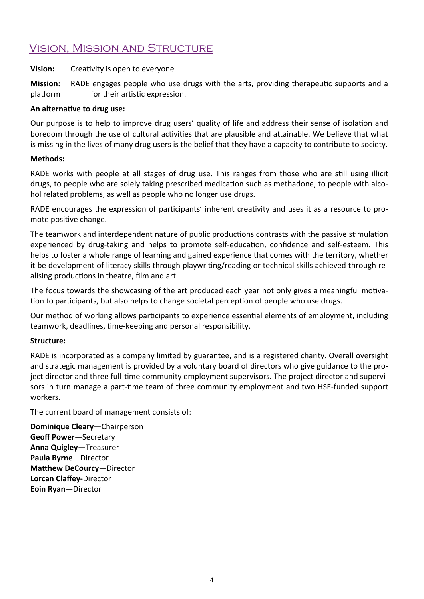### Vision, Mission and Structure

#### **Vision:** Creativity is open to everyone

**Mission:** RADE engages people who use drugs with the arts, providing therapeutic supports and a platform for their artistic expression.

#### An alternative to drug use:

Our purpose is to help to improve drug users' quality of life and address their sense of isolation and boredom through the use of cultural activities that are plausible and attainable. We believe that what is missing in the lives of many drug users is the belief that they have a capacity to contribute to society.

#### **Methods:**

RADE works with people at all stages of drug use. This ranges from those who are still using illicit drugs, to people who are solely taking prescribed medication such as methadone, to people with alcohol related problems, as well as people who no longer use drugs.

RADE encourages the expression of participants' inherent creativity and uses it as a resource to promote positive change.

The teamwork and interdependent nature of public productions contrasts with the passive stimulation experienced by drug-taking and helps to promote self-education, confidence and self-esteem. This helps to foster a whole range of learning and gained experience that comes with the territory, whether it be development of literacy skills through playwriting/reading or technical skills achieved through realising productions in theatre, film and art.

The focus towards the showcasing of the art produced each year not only gives a meaningful motivation to participants, but also helps to change societal perception of people who use drugs.

Our method of working allows participants to experience essential elements of employment, including teamwork, deadlines, time-keeping and personal responsibility.

#### **Structure:**

RADE is incorporated as a company limited by guarantee, and is a registered charity. Overall oversight and strategic management is provided by a voluntary board of directors who give guidance to the project director and three full-time community employment supervisors. The project director and supervisors in turn manage a part-time team of three community employment and two HSE-funded support workers.

The current board of management consists of:

**Dominique Cleary**—Chairperson **Geoff Power**—Secretary **Anna Quigley**—Treasurer **Paula Byrne**—Director **Matthew DeCourcy**—Director **Lorcan Claffey‐**Director **Eoin Ryan**—Director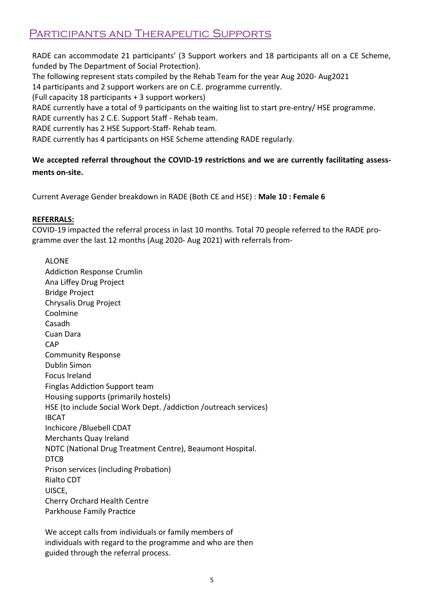# Participants and Therapeutic Supports

RADE can accommodate 21 participants' (3 Support workers and 18 participants all on a CE Scheme, funded by The Department of Social Protection).

The following represent stats compiled by the Rehab Team for the year Aug 2020- Aug2021

14 participants and 2 support workers are on C.E. programme currently.

(Full capacity 18 participants + 3 support workers)

RADE currently have a total of 9 participants on the waiting list to start pre-entry/ HSE programme.

RADE currently has 2 C.E. Support Staff - Rehab team.

RADE currently has 2 HSE Support-Staff- Rehab team.

RADE currently has 4 participants on HSE Scheme attending RADE regularly.

### **We accepted referral throughout the COVID‐19 restricƟons and we are currently facilitaƟng assess‐ ments on‐site.**

Current Average Gender breakdown in RADE (Both CE and HSE) : **Male 10 : Female 6**

#### **REFERRALS:**

COVID-19 impacted the referral process in last 10 months. Total 70 people referred to the RADE programme over the last 12 months (Aug 2020- Aug 2021) with referrals from-

ALONE Addiction Response Crumlin Ana Liffey Drug Project Bridge Project Chrysalis Drug Project Coolmine Casadh Cuan Dara CAP Community Response Dublin Simon Focus Ireland Finglas Addiction Support team Housing supports (primarily hostels) HSE (to include Social Work Dept. /addiction /outreach services) IBCAT Inchicore /Bluebell CDAT Merchants Quay Ireland NDTC (National Drug Treatment Centre), Beaumont Hospital. DTCB Prison services (including Probation) Rialto CDT UISCE, Cherry Orchard Health Centre Parkhouse Family Practice

We accept calls from individuals or family members of individuals with regard to the programme and who are then guided through the referral process.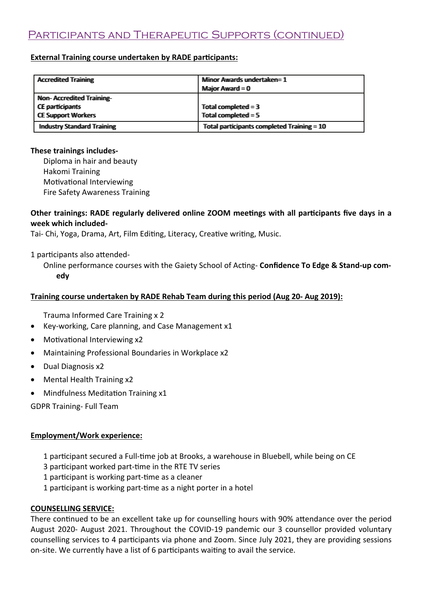# Participants and Therapeutic Supports (continued)

#### **External Training course undertaken by RADE participants:**

| <b>Accrediited Trailming</b>      | Milimor Awvards undertalken=1                |  |
|-----------------------------------|----------------------------------------------|--|
|                                   | <b>Major Award = 0</b>                       |  |
| Non-Accreditted Trailning-        |                                              |  |
| CE participants                   | Total completed $=$ 3                        |  |
| <b>CE Support Workers</b>         | Total completed $= 5$                        |  |
| <b>Industry Standard Training</b> | Total participants completed Training $= 10$ |  |

#### **These trainings includes‐**

Diploma in hair and beauty Hakomi Training Motivational Interviewing Fire Safety Awareness Training

#### Other trainings: RADE regularly delivered online ZOOM meetings with all participants five days in a **week which included‐**

Tai- Chi, Yoga, Drama, Art, Film Editing, Literacy, Creative writing, Music.

1 participants also attended-

Online performance courses with the Gaiety School of AcƟng- **Confidence To Edge & Stand‐up com‐ edy** 

#### **Training course undertaken by RADE Rehab Team during this period (Aug 20‐ Aug 2019):**

Trauma Informed Care Training x 2

- Key-working, Care planning, and Case Management x1
- Motivational Interviewing x2
- Maintaining Professional Boundaries in Workplace x2
- Dual Diagnosis x2
- Mental Health Training x2
- Mindfulness Meditation Training x1

GDPR Training- Full Team

#### **Employment/Work experience:**

- 1 participant secured a Full-time job at Brooks, a warehouse in Bluebell, while being on CE
- 3 participant worked part-time in the RTE TV series
- 1 participant is working part-time as a cleaner
- 1 participant is working part-time as a night porter in a hotel

#### **COUNSELLING SERVICE:**

There continued to be an excellent take up for counselling hours with 90% attendance over the period August 2020- August 2021. Throughout the COVID-19 pandemic our 3 counsellor provided voluntary counselling services to 4 participants via phone and Zoom. Since July 2021, they are providing sessions on-site. We currently have a list of 6 participants waiting to avail the service.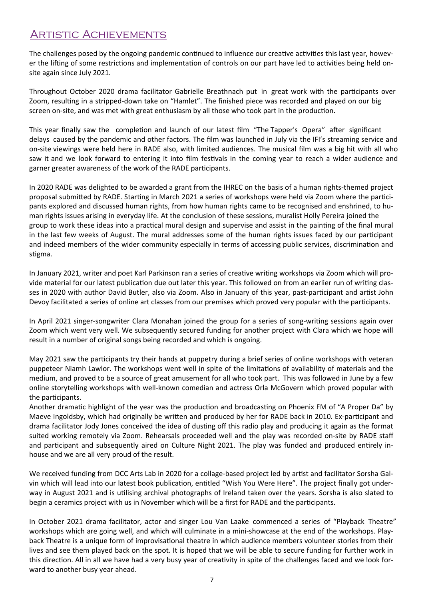### Artistic Achievements

The challenges posed by the ongoing pandemic continued to influence our creative activities this last year, however the lifting of some restrictions and implementation of controls on our part have led to activities being held onsite again since July 2021.

Throughout October 2020 drama facilitator Gabrielle Breathnach put in great work with the participants over Zoom, resulting in a stripped-down take on "Hamlet". The finished piece was recorded and played on our big screen on-site, and was met with great enthusiasm by all those who took part in the production.

This year finally saw the completion and launch of our latest film "The Tapper's Opera" after significant delays caused by the pandemic and other factors. The film was launched in July via the IFI's streaming service and on-site viewings were held here in RADE also, with limited audiences. The musical film was a big hit with all who saw it and we look forward to entering it into film festivals in the coming year to reach a wider audience and garner greater awareness of the work of the RADE participants.

In 2020 RADE was delighted to be awarded a grant from the IHREC on the basis of a human rights-themed project proposal submitted by RADE. Starting in March 2021 a series of workshops were held via Zoom where the participants explored and discussed human rights, from how human rights came to be recognised and enshrined, to human rights issues arising in everyday life. At the conclusion of these sessions, muralist Holly Pereira joined the group to work these ideas into a practical mural design and supervise and assist in the painting of the final mural in the last few weeks of August. The mural addresses some of the human rights issues faced by our participant and indeed members of the wider community especially in terms of accessing public services, discrimination and stigma.

In January 2021, writer and poet Karl Parkinson ran a series of creative writing workshops via Zoom which will provide material for our latest publication due out later this year. This followed on from an earlier run of writing classes in 2020 with author David Butler, also via Zoom. Also in January of this year, past-participant and artist John Devoy facilitated a series of online art classes from our premises which proved very popular with the participants.

In April 2021 singer-songwriter Clara Monahan joined the group for a series of song-writing sessions again over Zoom which went very well. We subsequently secured funding for another project with Clara which we hope will result in a number of original songs being recorded and which is ongoing.

May 2021 saw the participants try their hands at puppetry during a brief series of online workshops with veteran puppeteer Niamh Lawlor. The workshops went well in spite of the limitations of availability of materials and the medium, and proved to be a source of great amusement for all who took part. This was followed in June by a few online storytelling workshops with well-known comedian and actress Orla McGovern which proved popular with the participants.

Another dramatic highlight of the year was the production and broadcasting on Phoenix FM of "A Proper Da" by Maeve Ingoldsby, which had originally be written and produced by her for RADE back in 2010. Ex-participant and drama facilitator Jody Jones conceived the idea of dusting off this radio play and producing it again as the format suited working remotely via Zoom. Rehearsals proceeded well and the play was recorded on-site by RADE staff and participant and subsequently aired on Culture Night 2021. The play was funded and produced entirely inhouse and we are all very proud of the result.

We received funding from DCC Arts Lab in 2020 for a collage-based project led by artist and facilitator Sorsha Galvin which will lead into our latest book publication, entitled "Wish You Were Here". The project finally got underway in August 2021 and is utilising archival photographs of Ireland taken over the years. Sorsha is also slated to begin a ceramics project with us in November which will be a first for RADE and the participants.

In October 2021 drama facilitator, actor and singer Lou Van Laake commenced a series of "Playback Theatre" workshops which are going well, and which will culminate in a mini-showcase at the end of the workshops. Playback Theatre is a unique form of improvisational theatre in which audience members volunteer stories from their lives and see them played back on the spot. It is hoped that we will be able to secure funding for further work in this direction. All in all we have had a very busy year of creativity in spite of the challenges faced and we look forward to another busy year ahead.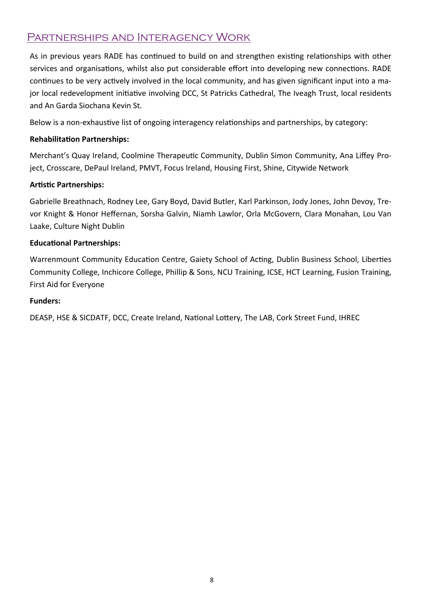# Partnerships and Interagency Work

As in previous years RADE has continued to build on and strengthen existing relationships with other services and organisations, whilst also put considerable effort into developing new connections. RADE continues to be very actively involved in the local community, and has given significant input into a major local redevelopment initiative involving DCC, St Patricks Cathedral, The Iveagh Trust, local residents and An Garda Siochana Kevin St.

Below is a non-exhaustive list of ongoing interagency relationships and partnerships, by category:

#### **RehabilitaƟon Partnerships:**

Merchant's Quay Ireland, Coolmine Therapeutic Community, Dublin Simon Community, Ana Liffey Project, Crosscare, DePaul Ireland, PMVT, Focus Ireland, Housing First, Shine, Citywide Network

#### **Artistic Partnerships:**

Gabrielle Breathnach, Rodney Lee, Gary Boyd, David Butler, Karl Parkinson, Jody Jones, John Devoy, Trevor Knight & Honor Heffernan, Sorsha Galvin, Niamh Lawlor, Orla McGovern, Clara Monahan, Lou Van Laake, Culture Night Dublin

#### **Educational Partnerships:**

Warrenmount Community Education Centre, Gaiety School of Acting, Dublin Business School, Liberties Community College, Inchicore College, Phillip & Sons, NCU Training, ICSE, HCT Learning, Fusion Training, First Aid for Everyone

#### **Funders:**

DEASP, HSE & SICDATF, DCC, Create Ireland, National Lottery, The LAB, Cork Street Fund, IHREC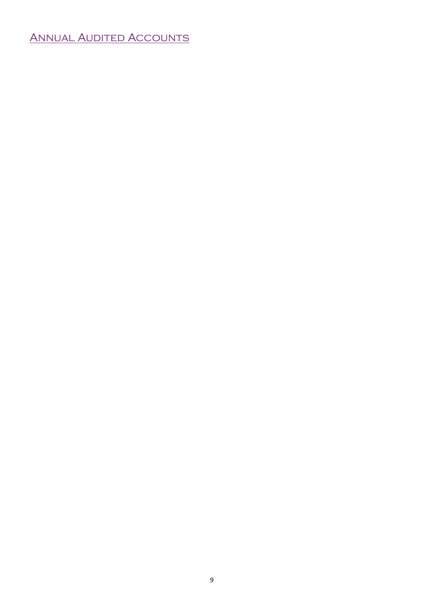# Annual Audited Accounts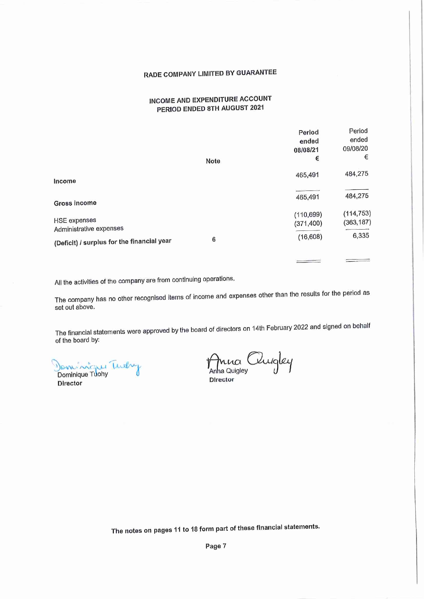# RADE COMPANY LIMITED BY GUARANTEE

#### INCOME AND EXPENDITURE ACCOUNT PERIOD ENDED 8TH AUGUST 2021

|                                                                                              | Note | Period<br>ended<br>08/08/21<br>€ | Period<br>ended<br>09/08/20<br>€ |
|----------------------------------------------------------------------------------------------|------|----------------------------------|----------------------------------|
| Income                                                                                       |      | 465,491                          | 484,275                          |
| Gross income                                                                                 |      | 465,491                          | 484,275                          |
| <b>HSE expenses</b><br>Administrative expenses<br>(Deficit) / surplus for the financial year |      | (110, 699)<br>(371, 400)         | (114, 753)<br>(363, 187)         |
|                                                                                              | 6    | (16, 608)                        | 6,335                            |

All the activities of the company are from continuing operations.

The company has no other recognised items of income and expenses other than the results for the period as set out above.

The financial statements were approved by the board of directors on 14th February 2022 and signed on behalf of the board by:

Dominique Turky

**Director** 

Anna Quigley Director

The notes on pages 11 to 18 form part of these financial statements.

Page 7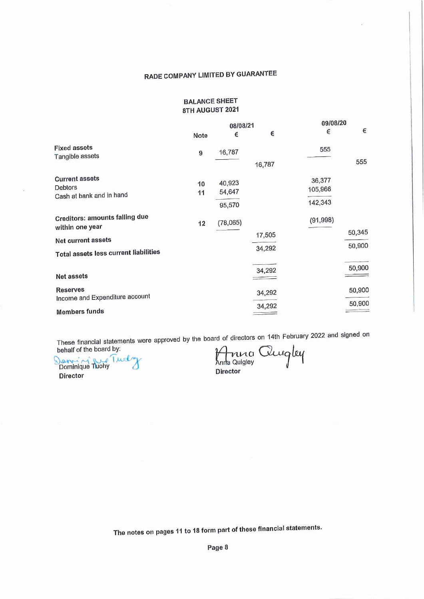### RADE COMPANY LIMITED BY GUARANTEE

#### **BALANCE SHEET** 8TH AUGUST 2021

|                                                                                                                                | 08/08/21 |                            |                  | 09/08/20                     |                  |
|--------------------------------------------------------------------------------------------------------------------------------|----------|----------------------------|------------------|------------------------------|------------------|
|                                                                                                                                | Note     | €                          | €                | €                            | €                |
| <b>Fixed assets</b><br>Tangible assets                                                                                         | 9        | 16,787                     | 16,787           | 555                          | 555              |
| <b>Current assets</b><br>Debtors<br>Cash at bank and in hand                                                                   | 10<br>11 | 40,923<br>54,647<br>95,570 |                  | 36,377<br>105,966<br>142,343 |                  |
| <b>Creditors: amounts falling due</b><br>within one year<br><b>Net current assets</b><br>Total assets less current liabilities | 12       | (78,065)                   | 17,505<br>34,292 | (91, 998)                    | 50,345<br>50,900 |
| Net assets                                                                                                                     |          |                            | 34,292           |                              | 50,900           |
| <b>Reserves</b><br>Income and Expenditure account                                                                              |          |                            | 34,292           |                              | 50,900           |
| <b>Members funds</b>                                                                                                           |          |                            | 34,292           |                              | 50,900           |

These financial statements were approved by the board of directors on 14th February 2022 and signed on behalf of the board by:

Denning Rue Turely **Director** 

Anna Quigley Director

The notes on pages 11 to 18 form part of these financial statements.